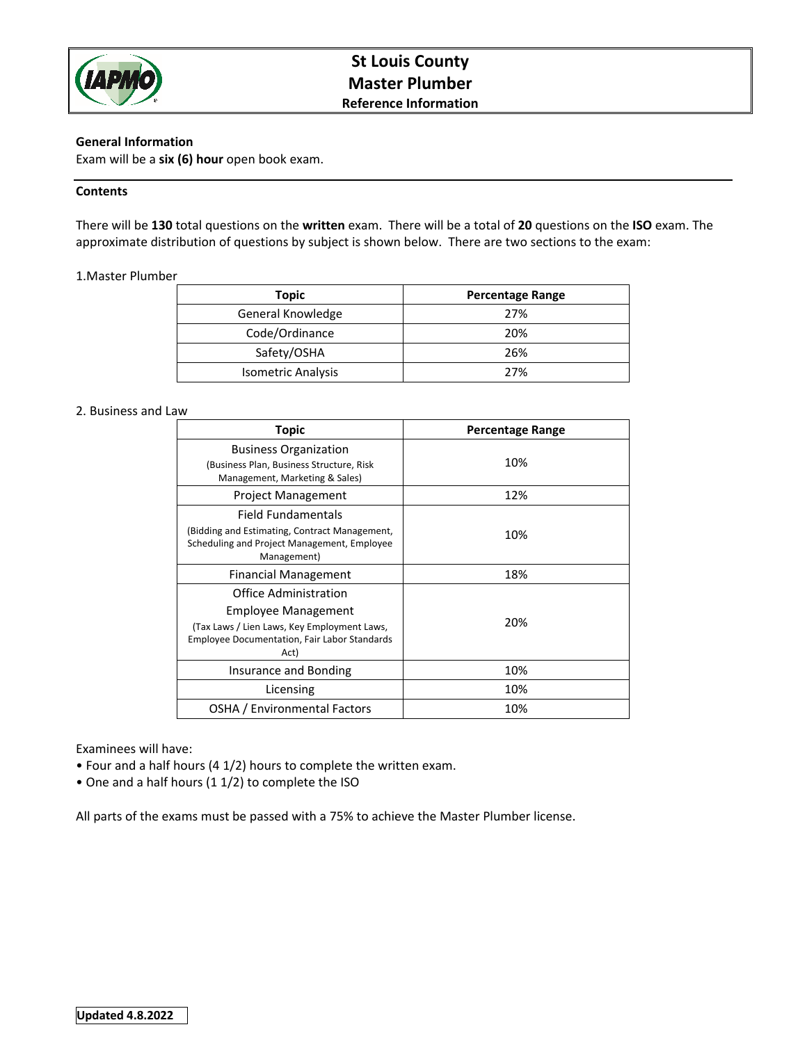

# **General Information**

Exam will be a **six (6) hour** open book exam.

### **Contents**

There will be **130** total questions on the **written** exam. There will be a total of **20** questions on the **ISO** exam. The approximate distribution of questions by subject is shown below. There are two sections to the exam:

# 1.Master Plumber

| Topic                     | <b>Percentage Range</b> |
|---------------------------|-------------------------|
| General Knowledge         | 27%                     |
| Code/Ordinance            | 20%                     |
| Safety/OSHA               | 26%                     |
| <b>Isometric Analysis</b> | 27%                     |

#### 2. Business and Law

| Topic                                                                                                                                                             | <b>Percentage Range</b> |
|-------------------------------------------------------------------------------------------------------------------------------------------------------------------|-------------------------|
| <b>Business Organization</b><br>(Business Plan, Business Structure, Risk<br>Management, Marketing & Sales)                                                        | 10%                     |
| <b>Project Management</b>                                                                                                                                         | 12%                     |
| Field Fundamentals<br>(Bidding and Estimating, Contract Management,<br>Scheduling and Project Management, Employee<br>Management)                                 | 10%                     |
| Financial Management                                                                                                                                              | 18%                     |
| Office Administration<br><b>Employee Management</b><br>(Tax Laws / Lien Laws, Key Employment Laws,<br><b>Employee Documentation, Fair Labor Standards</b><br>Act) | 20%                     |
| Insurance and Bonding                                                                                                                                             | 10%                     |
| Licensing                                                                                                                                                         | 10%                     |
| OSHA / Environmental Factors                                                                                                                                      | 10%                     |

# Examinees will have:

- Four and a half hours (4 1/2) hours to complete the written exam.
- One and a half hours (1 1/2) to complete the ISO

All parts of the exams must be passed with a 75% to achieve the Master Plumber license.